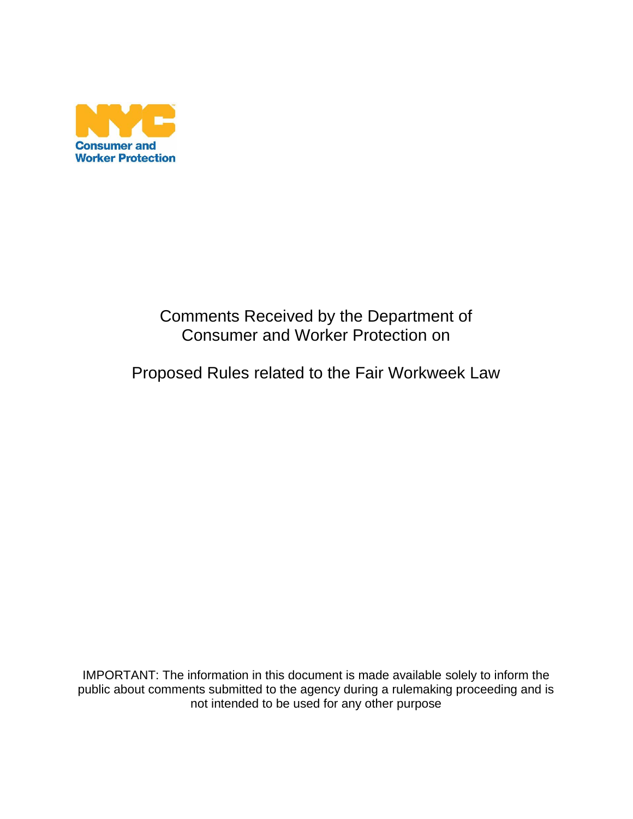

# Comments Received by the Department of Consumer and Worker Protection on

# Proposed Rules related to the Fair Workweek Law

IMPORTANT: The information in this document is made available solely to inform the public about comments submitted to the agency during a rulemaking proceeding and is not intended to be used for any other purpose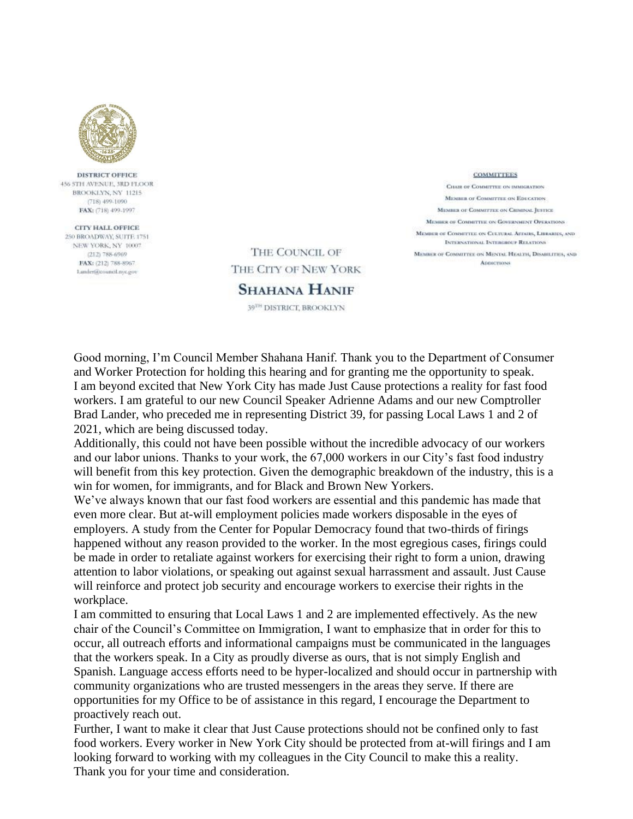

**DISTRICT OFFICE** 456 STH AVENUE, 3RD FLOOR BROOKLYN NY 11215 (718) 499-1090 FAX: (718) 499-1997

CITY HALL OFFICE 250 BROADWAY, SUITE 1751. NEW YORK, NY 10007 (212) 788-6969 FAX: (212) 788-8967 Lander@council.nyc.gov

THE COUNCIL OF THE CITY OF NEW YORK

**SHAHANA HANIF** 

39TH DISTRICT, BROOKLYN

**COMMITTEES** CHAIR OF COMMITTEE ON IMMIGRATION MEMBER OF COMMETTER ON EDUCATION MEMBER OF COMMITTEE ON CHIMINAL JUSTICE MEMBER OF COMMETTEE ON GOVERNMENT OPERATIONS MEMBER OF COMMITTEE ON CHUTURAL AFFAIRS, LIBRARIES, AND **INTERNATIONAL INTERGROUP RELATIONS** MEMBER OF COMMITTEE ON MENTAL HEALTH, DISABILITIES, AND **ADDICTIONS** 

Good morning, I'm Council Member Shahana Hanif. Thank you to the Department of Consumer and Worker Protection for holding this hearing and for granting me the opportunity to speak. I am beyond excited that New York City has made Just Cause protections a reality for fast food workers. I am grateful to our new Council Speaker Adrienne Adams and our new Comptroller Brad Lander, who preceded me in representing District 39, for passing Local Laws 1 and 2 of 2021, which are being discussed today.

Additionally, this could not have been possible without the incredible advocacy of our workers and our labor unions. Thanks to your work, the 67,000 workers in our City's fast food industry will benefit from this key protection. Given the demographic breakdown of the industry, this is a win for women, for immigrants, and for Black and Brown New Yorkers.

We've always known that our fast food workers are essential and this pandemic has made that even more clear. But at-will employment policies made workers disposable in the eyes of employers. A study from the Center for Popular Democracy found that two-thirds of firings happened without any reason provided to the worker. In the most egregious cases, firings could be made in order to retaliate against workers for exercising their right to form a union, drawing attention to labor violations, or speaking out against sexual harrassment and assault. Just Cause will reinforce and protect job security and encourage workers to exercise their rights in the workplace.

I am committed to ensuring that Local Laws 1 and 2 are implemented effectively. As the new chair of the Council's Committee on Immigration, I want to emphasize that in order for this to occur, all outreach efforts and informational campaigns must be communicated in the languages that the workers speak. In a City as proudly diverse as ours, that is not simply English and Spanish. Language access efforts need to be hyper-localized and should occur in partnership with community organizations who are trusted messengers in the areas they serve. If there are opportunities for my Office to be of assistance in this regard, I encourage the Department to proactively reach out.

Further, I want to make it clear that Just Cause protections should not be confined only to fast food workers. Every worker in New York City should be protected from at-will firings and I am looking forward to working with my colleagues in the City Council to make this a reality. Thank you for your time and consideration.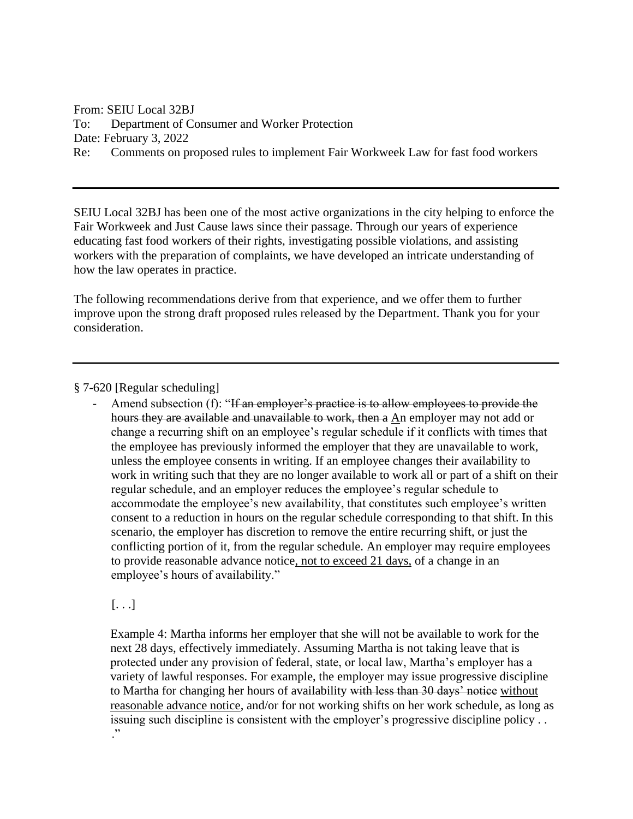From: SEIU Local 32BJ To: Department of Consumer and Worker Protection Date: February 3, 2022 Re: Comments on proposed rules to implement Fair Workweek Law for fast food workers

SEIU Local 32BJ has been one of the most active organizations in the city helping to enforce the Fair Workweek and Just Cause laws since their passage. Through our years of experience educating fast food workers of their rights, investigating possible violations, and assisting workers with the preparation of complaints, we have developed an intricate understanding of how the law operates in practice.

The following recommendations derive from that experience, and we offer them to further improve upon the strong draft proposed rules released by the Department. Thank you for your consideration.

§ 7-620 [Regular scheduling]

Amend subsection (f): "If an employer's practice is to allow employees to provide the hours they are available and unavailable to work, then a An employer may not add or change a recurring shift on an employee's regular schedule if it conflicts with times that the employee has previously informed the employer that they are unavailable to work, unless the employee consents in writing. If an employee changes their availability to work in writing such that they are no longer available to work all or part of a shift on their regular schedule, and an employer reduces the employee's regular schedule to accommodate the employee's new availability, that constitutes such employee's written consent to a reduction in hours on the regular schedule corresponding to that shift. In this scenario, the employer has discretion to remove the entire recurring shift, or just the conflicting portion of it, from the regular schedule. An employer may require employees to provide reasonable advance notice, not to exceed 21 days, of a change in an employee's hours of availability."

 $\left[ \ldots \right]$ 

Example 4: Martha informs her employer that she will not be available to work for the next 28 days, effectively immediately. Assuming Martha is not taking leave that is protected under any provision of federal, state, or local law, Martha's employer has a variety of lawful responses. For example, the employer may issue progressive discipline to Martha for changing her hours of availability with less than 30 days' notice without reasonable advance notice, and/or for not working shifts on her work schedule, as long as issuing such discipline is consistent with the employer's progressive discipline policy . . ."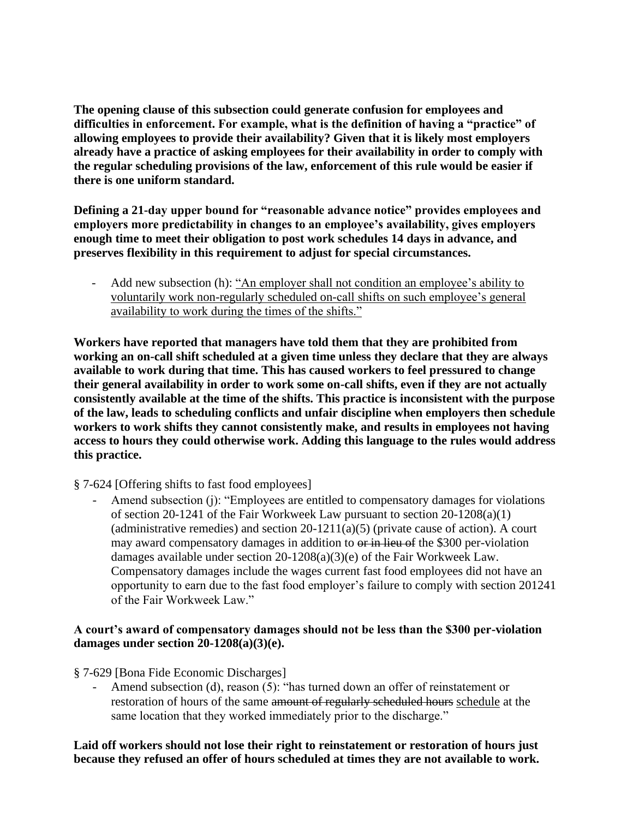**The opening clause of this subsection could generate confusion for employees and difficulties in enforcement. For example, what is the definition of having a "practice" of allowing employees to provide their availability? Given that it is likely most employers already have a practice of asking employees for their availability in order to comply with the regular scheduling provisions of the law, enforcement of this rule would be easier if there is one uniform standard.** 

**Defining a 21-day upper bound for "reasonable advance notice" provides employees and employers more predictability in changes to an employee's availability, gives employers enough time to meet their obligation to post work schedules 14 days in advance, and preserves flexibility in this requirement to adjust for special circumstances.** 

Add new subsection (h): "An employer shall not condition an employee's ability to voluntarily work non-regularly scheduled on-call shifts on such employee's general availability to work during the times of the shifts."

**Workers have reported that managers have told them that they are prohibited from working an on-call shift scheduled at a given time unless they declare that they are always available to work during that time. This has caused workers to feel pressured to change their general availability in order to work some on-call shifts, even if they are not actually consistently available at the time of the shifts. This practice is inconsistent with the purpose of the law, leads to scheduling conflicts and unfair discipline when employers then schedule workers to work shifts they cannot consistently make, and results in employees not having access to hours they could otherwise work. Adding this language to the rules would address this practice.** 

§ 7-624 [Offering shifts to fast food employees]

Amend subsection (j): "Employees are entitled to compensatory damages for violations of section 20-1241 of the Fair Workweek Law pursuant to section 20-1208(a)(1) (administrative remedies) and section  $20-1211(a)(5)$  (private cause of action). A court may award compensatory damages in addition to  $\theta$  in lieu of the \$300 per-violation damages available under section 20-1208(a)(3)(e) of the Fair Workweek Law. Compensatory damages include the wages current fast food employees did not have an opportunity to earn due to the fast food employer's failure to comply with section 201241 of the Fair Workweek Law."

#### **A court's award of compensatory damages should not be less than the \$300 per-violation damages under section 20-1208(a)(3)(e).**

§ 7-629 [Bona Fide Economic Discharges]

Amend subsection (d), reason (5): "has turned down an offer of reinstatement or restoration of hours of the same amount of regularly scheduled hours schedule at the same location that they worked immediately prior to the discharge."

**Laid off workers should not lose their right to reinstatement or restoration of hours just because they refused an offer of hours scheduled at times they are not available to work.**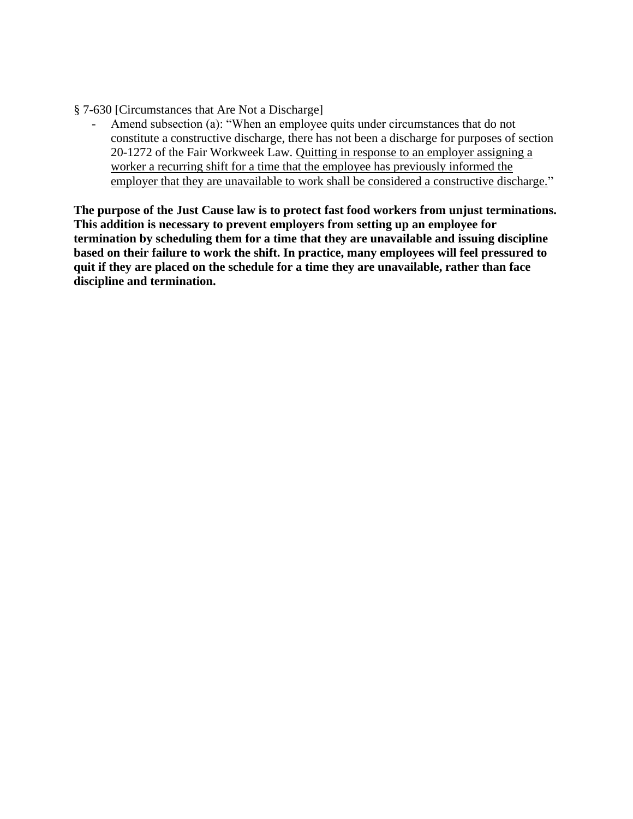§ 7-630 [Circumstances that Are Not a Discharge]

Amend subsection (a): "When an employee quits under circumstances that do not constitute a constructive discharge, there has not been a discharge for purposes of section 20-1272 of the Fair Workweek Law. Quitting in response to an employer assigning a worker a recurring shift for a time that the employee has previously informed the employer that they are unavailable to work shall be considered a constructive discharge."

**The purpose of the Just Cause law is to protect fast food workers from unjust terminations. This addition is necessary to prevent employers from setting up an employee for termination by scheduling them for a time that they are unavailable and issuing discipline based on their failure to work the shift. In practice, many employees will feel pressured to quit if they are placed on the schedule for a time they are unavailable, rather than face discipline and termination.**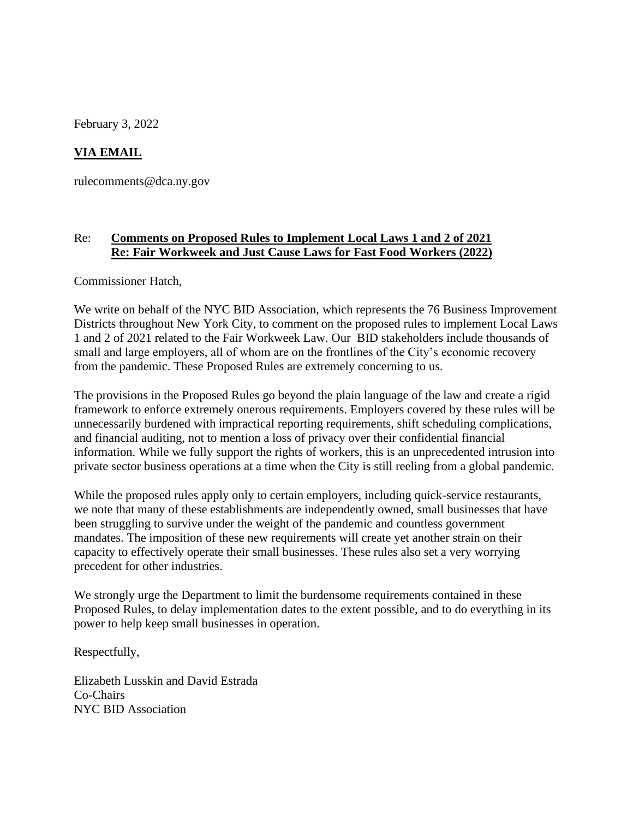February 3, 2022

## **VIA EMAIL**

rulecomments@dca.ny.gov

### Re: **Comments on Proposed Rules to Implement Local Laws 1 and 2 of 2021 Re: Fair Workweek and Just Cause Laws for Fast Food Workers (2022)**

Commissioner Hatch,

We write on behalf of the NYC BID Association, which represents the 76 Business Improvement Districts throughout New York City, to comment on the proposed rules to implement Local Laws 1 and 2 of 2021 related to the Fair Workweek Law. Our BID stakeholders include thousands of small and large employers, all of whom are on the frontlines of the City's economic recovery from the pandemic. These Proposed Rules are extremely concerning to us.

The provisions in the Proposed Rules go beyond the plain language of the law and create a rigid framework to enforce extremely onerous requirements. Employers covered by these rules will be unnecessarily burdened with impractical reporting requirements, shift scheduling complications, and financial auditing, not to mention a loss of privacy over their confidential financial information. While we fully support the rights of workers, this is an unprecedented intrusion into private sector business operations at a time when the City is still reeling from a global pandemic.

While the proposed rules apply only to certain employers, including quick-service restaurants, we note that many of these establishments are independently owned, small businesses that have been struggling to survive under the weight of the pandemic and countless government mandates. The imposition of these new requirements will create yet another strain on their capacity to effectively operate their small businesses. These rules also set a very worrying precedent for other industries.

We strongly urge the Department to limit the burdensome requirements contained in these Proposed Rules, to delay implementation dates to the extent possible, and to do everything in its power to help keep small businesses in operation.

Respectfully,

Elizabeth Lusskin and David Estrada Co-Chairs NYC BID Association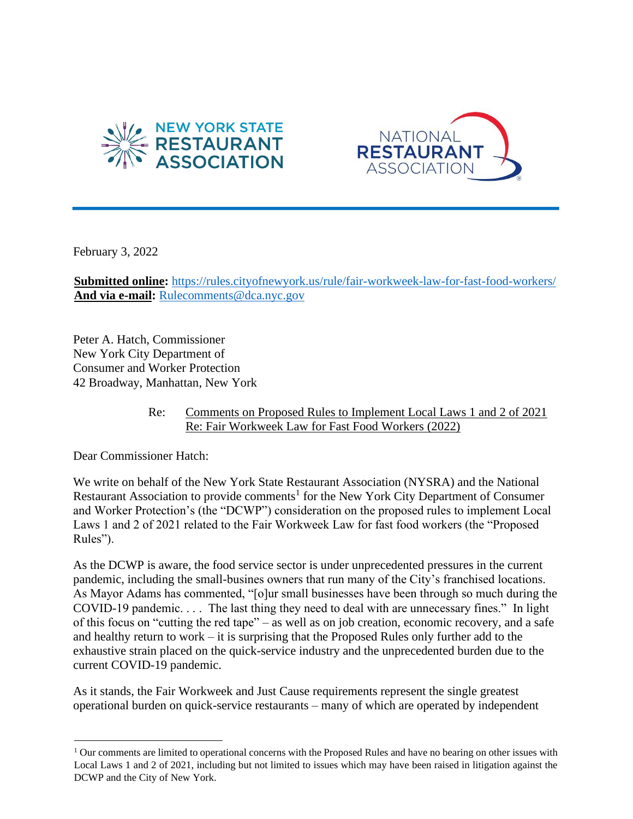



February 3, 2022

**Submitted online:** https://rules.cityofnewyork.us/rule/fair-workweek-law-for-fast-food-workers/ And via e-mail: Rulecomments@dca.nyc.gov

Peter A. Hatch, Commissioner New York City Department of Consumer and Worker Protection 42 Broadway, Manhattan, New York

#### Re: Comments on Proposed Rules to Implement Local Laws 1 and 2 of 2021 Re: Fair Workweek Law for Fast Food Workers (2022)

Dear Commissioner Hatch:

We write on behalf of the New York State Restaurant Association (NYSRA) and the National Restaurant Association to provide comments<sup>1</sup> for the New York City Department of Consumer and Worker Protection's (the "DCWP") consideration on the proposed rules to implement Local Laws 1 and 2 of 2021 related to the Fair Workweek Law for fast food workers (the "Proposed Rules").

As the DCWP is aware, the food service sector is under unprecedented pressures in the current pandemic, including the small-busines owners that run many of the City's franchised locations. As Mayor Adams has commented, "[o]ur small businesses have been through so much during the COVID-19 pandemic. . . . The last thing they need to deal with are unnecessary fines." In light of this focus on "cutting the red tape" – as well as on job creation, economic recovery, and a safe and healthy return to work – it is surprising that the Proposed Rules only further add to the exhaustive strain placed on the quick-service industry and the unprecedented burden due to the current COVID-19 pandemic.

As it stands, the Fair Workweek and Just Cause requirements represent the single greatest operational burden on quick-service restaurants – many of which are operated by independent

 $1$  Our comments are limited to operational concerns with the Proposed Rules and have no bearing on other issues with Local Laws 1 and 2 of 2021, including but not limited to issues which may have been raised in litigation against the DCWP and the City of New York.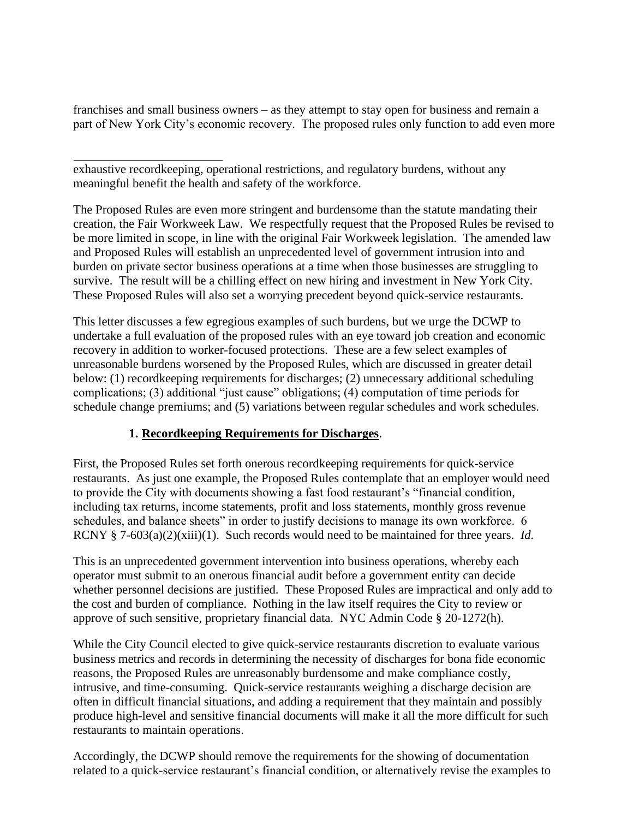franchises and small business owners – as they attempt to stay open for business and remain a part of New York City's economic recovery. The proposed rules only function to add even more

exhaustive recordkeeping, operational restrictions, and regulatory burdens, without any meaningful benefit the health and safety of the workforce.

The Proposed Rules are even more stringent and burdensome than the statute mandating their creation, the Fair Workweek Law. We respectfully request that the Proposed Rules be revised to be more limited in scope, in line with the original Fair Workweek legislation. The amended law and Proposed Rules will establish an unprecedented level of government intrusion into and burden on private sector business operations at a time when those businesses are struggling to survive. The result will be a chilling effect on new hiring and investment in New York City. These Proposed Rules will also set a worrying precedent beyond quick-service restaurants.

This letter discusses a few egregious examples of such burdens, but we urge the DCWP to undertake a full evaluation of the proposed rules with an eye toward job creation and economic recovery in addition to worker-focused protections. These are a few select examples of unreasonable burdens worsened by the Proposed Rules, which are discussed in greater detail below: (1) recordkeeping requirements for discharges; (2) unnecessary additional scheduling complications; (3) additional "just cause" obligations; (4) computation of time periods for schedule change premiums; and (5) variations between regular schedules and work schedules.

## **1. Recordkeeping Requirements for Discharges**.

First, the Proposed Rules set forth onerous recordkeeping requirements for quick-service restaurants. As just one example, the Proposed Rules contemplate that an employer would need to provide the City with documents showing a fast food restaurant's "financial condition, including tax returns, income statements, profit and loss statements, monthly gross revenue schedules, and balance sheets" in order to justify decisions to manage its own workforce. 6 RCNY § 7-603(a)(2)(xiii)(1). Such records would need to be maintained for three years. *Id.*

This is an unprecedented government intervention into business operations, whereby each operator must submit to an onerous financial audit before a government entity can decide whether personnel decisions are justified. These Proposed Rules are impractical and only add to the cost and burden of compliance. Nothing in the law itself requires the City to review or approve of such sensitive, proprietary financial data. NYC Admin Code § 20-1272(h).

While the City Council elected to give quick-service restaurants discretion to evaluate various business metrics and records in determining the necessity of discharges for bona fide economic reasons, the Proposed Rules are unreasonably burdensome and make compliance costly, intrusive, and time-consuming. Quick-service restaurants weighing a discharge decision are often in difficult financial situations, and adding a requirement that they maintain and possibly produce high-level and sensitive financial documents will make it all the more difficult for such restaurants to maintain operations.

Accordingly, the DCWP should remove the requirements for the showing of documentation related to a quick-service restaurant's financial condition, or alternatively revise the examples to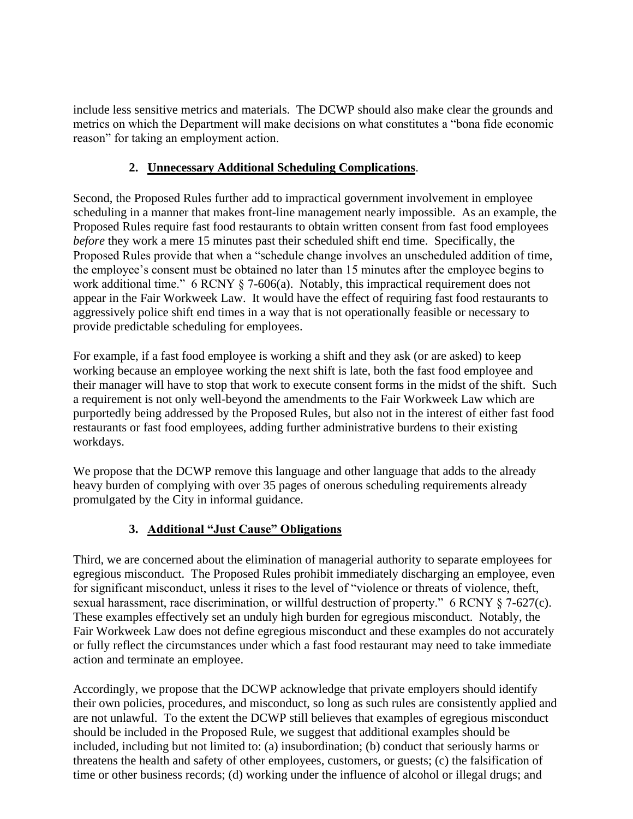include less sensitive metrics and materials. The DCWP should also make clear the grounds and metrics on which the Department will make decisions on what constitutes a "bona fide economic reason" for taking an employment action.

## **2. Unnecessary Additional Scheduling Complications**.

Second, the Proposed Rules further add to impractical government involvement in employee scheduling in a manner that makes front-line management nearly impossible. As an example, the Proposed Rules require fast food restaurants to obtain written consent from fast food employees *before* they work a mere 15 minutes past their scheduled shift end time. Specifically, the Proposed Rules provide that when a "schedule change involves an unscheduled addition of time, the employee's consent must be obtained no later than 15 minutes after the employee begins to work additional time." 6 RCNY § 7-606(a). Notably, this impractical requirement does not appear in the Fair Workweek Law. It would have the effect of requiring fast food restaurants to aggressively police shift end times in a way that is not operationally feasible or necessary to provide predictable scheduling for employees.

For example, if a fast food employee is working a shift and they ask (or are asked) to keep working because an employee working the next shift is late, both the fast food employee and their manager will have to stop that work to execute consent forms in the midst of the shift. Such a requirement is not only well-beyond the amendments to the Fair Workweek Law which are purportedly being addressed by the Proposed Rules, but also not in the interest of either fast food restaurants or fast food employees, adding further administrative burdens to their existing workdays.

We propose that the DCWP remove this language and other language that adds to the already heavy burden of complying with over 35 pages of onerous scheduling requirements already promulgated by the City in informal guidance.

## **3. Additional "Just Cause" Obligations**

Third, we are concerned about the elimination of managerial authority to separate employees for egregious misconduct. The Proposed Rules prohibit immediately discharging an employee, even for significant misconduct, unless it rises to the level of "violence or threats of violence, theft, sexual harassment, race discrimination, or willful destruction of property." 6 RCNY § 7-627(c). These examples effectively set an unduly high burden for egregious misconduct. Notably, the Fair Workweek Law does not define egregious misconduct and these examples do not accurately or fully reflect the circumstances under which a fast food restaurant may need to take immediate action and terminate an employee.

Accordingly, we propose that the DCWP acknowledge that private employers should identify their own policies, procedures, and misconduct, so long as such rules are consistently applied and are not unlawful. To the extent the DCWP still believes that examples of egregious misconduct should be included in the Proposed Rule, we suggest that additional examples should be included, including but not limited to: (a) insubordination; (b) conduct that seriously harms or threatens the health and safety of other employees, customers, or guests; (c) the falsification of time or other business records; (d) working under the influence of alcohol or illegal drugs; and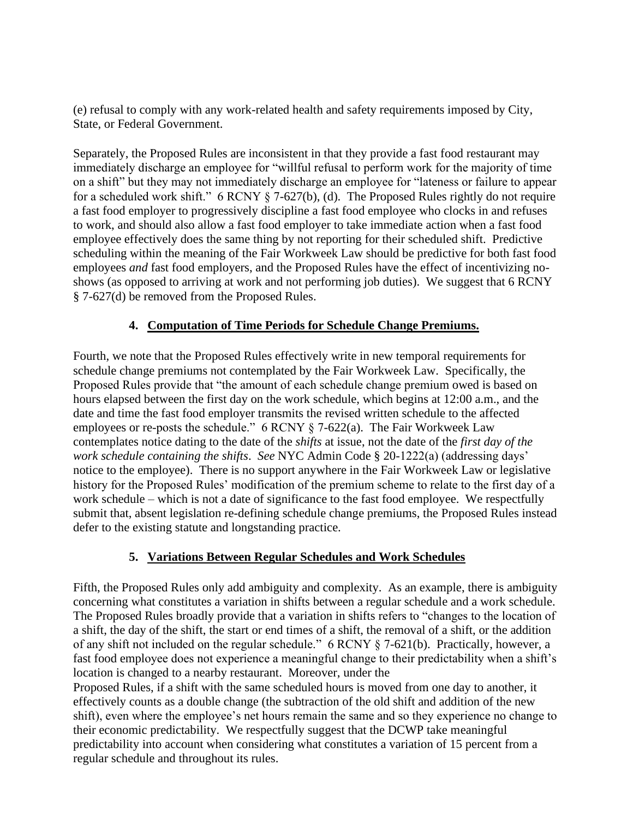(e) refusal to comply with any work-related health and safety requirements imposed by City, State, or Federal Government.

Separately, the Proposed Rules are inconsistent in that they provide a fast food restaurant may immediately discharge an employee for "willful refusal to perform work for the majority of time on a shift" but they may not immediately discharge an employee for "lateness or failure to appear for a scheduled work shift."  $6$  RCNY  $\frac{8}{3}$  7-627(b), (d). The Proposed Rules rightly do not require a fast food employer to progressively discipline a fast food employee who clocks in and refuses to work, and should also allow a fast food employer to take immediate action when a fast food employee effectively does the same thing by not reporting for their scheduled shift. Predictive scheduling within the meaning of the Fair Workweek Law should be predictive for both fast food employees *and* fast food employers, and the Proposed Rules have the effect of incentivizing noshows (as opposed to arriving at work and not performing job duties). We suggest that 6 RCNY § 7-627(d) be removed from the Proposed Rules.

## **4. Computation of Time Periods for Schedule Change Premiums.**

Fourth, we note that the Proposed Rules effectively write in new temporal requirements for schedule change premiums not contemplated by the Fair Workweek Law. Specifically, the Proposed Rules provide that "the amount of each schedule change premium owed is based on hours elapsed between the first day on the work schedule, which begins at 12:00 a.m., and the date and time the fast food employer transmits the revised written schedule to the affected employees or re-posts the schedule."  $6$  RCNY  $\S$  7-622(a). The Fair Workweek Law contemplates notice dating to the date of the *shifts* at issue, not the date of the *first day of the work schedule containing the shifts*. *See* NYC Admin Code § 20-1222(a) (addressing days' notice to the employee). There is no support anywhere in the Fair Workweek Law or legislative history for the Proposed Rules' modification of the premium scheme to relate to the first day of a work schedule – which is not a date of significance to the fast food employee. We respectfully submit that, absent legislation re-defining schedule change premiums, the Proposed Rules instead defer to the existing statute and longstanding practice.

## **5. Variations Between Regular Schedules and Work Schedules**

Fifth, the Proposed Rules only add ambiguity and complexity. As an example, there is ambiguity concerning what constitutes a variation in shifts between a regular schedule and a work schedule. The Proposed Rules broadly provide that a variation in shifts refers to "changes to the location of a shift, the day of the shift, the start or end times of a shift, the removal of a shift, or the addition of any shift not included on the regular schedule." 6 RCNY § 7-621(b). Practically, however, a fast food employee does not experience a meaningful change to their predictability when a shift's location is changed to a nearby restaurant. Moreover, under the

Proposed Rules, if a shift with the same scheduled hours is moved from one day to another, it effectively counts as a double change (the subtraction of the old shift and addition of the new shift), even where the employee's net hours remain the same and so they experience no change to their economic predictability. We respectfully suggest that the DCWP take meaningful predictability into account when considering what constitutes a variation of 15 percent from a regular schedule and throughout its rules.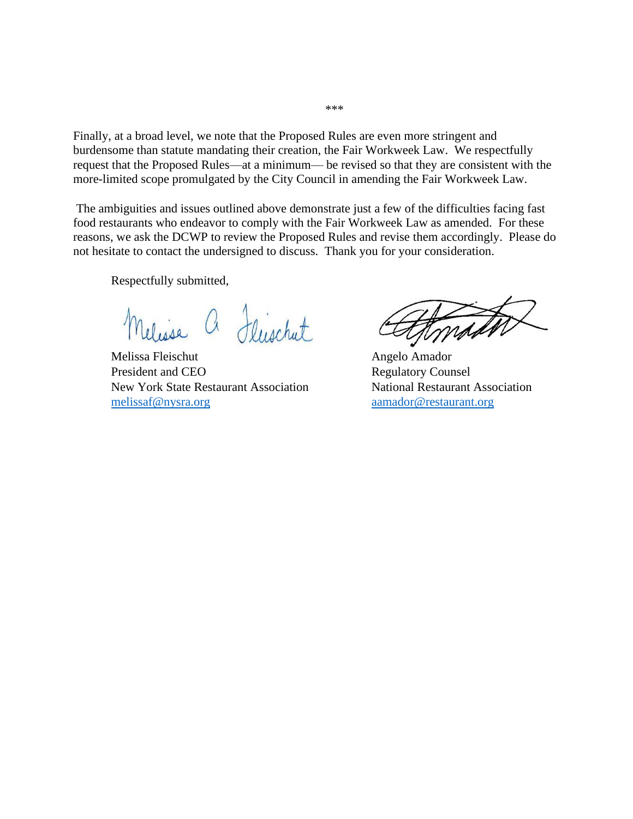Finally, at a broad level, we note that the Proposed Rules are even more stringent and burdensome than statute mandating their creation, the Fair Workweek Law. We respectfully request that the Proposed Rules—at a minimum— be revised so that they are consistent with the more-limited scope promulgated by the City Council in amending the Fair Workweek Law.

The ambiguities and issues outlined above demonstrate just a few of the difficulties facing fast food restaurants who endeavor to comply with the Fair Workweek Law as amended. For these reasons, we ask the DCWP to review the Proposed Rules and revise them accordingly. Please do not hesitate to contact the undersigned to discuss. Thank you for your consideration.

Respectfully submitted,

a Fluschut

Melissa Fleischut Angelo Amador President and CEO Regulatory Counsel New York State Restaurant Association National Restaurant Association melissaf@nysra.org aamador@restaurant.org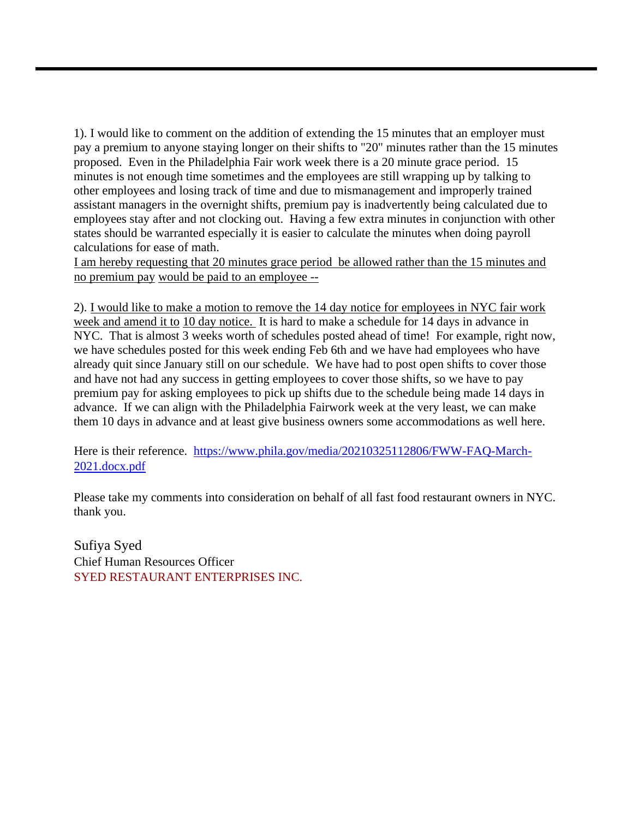1). I would like to comment on the addition of extending the 15 minutes that an employer must pay a premium to anyone staying longer on their shifts to "20" minutes rather than the 15 minutes proposed. Even in the Philadelphia Fair work week there is a 20 minute grace period. 15 minutes is not enough time sometimes and the employees are still wrapping up by talking to other employees and losing track of time and due to mismanagement and improperly trained assistant managers in the overnight shifts, premium pay is inadvertently being calculated due to employees stay after and not clocking out. Having a few extra minutes in conjunction with other states should be warranted especially it is easier to calculate the minutes when doing payroll calculations for ease of math.

I am hereby requesting that 20 minutes grace period be allowed rather than the 15 minutes and no premium pay would be paid to an employee --

2). I would like to make a motion to remove the 14 day notice for employees in NYC fair work week and amend it to 10 day notice. It is hard to make a schedule for 14 days in advance in NYC. That is almost 3 weeks worth of schedules posted ahead of time! For example, right now, we have schedules posted for this week ending Feb 6th and we have had employees who have already quit since January still on our schedule. We have had to post open shifts to cover those and have not had any success in getting employees to cover those shifts, so we have to pay premium pay for asking employees to pick up shifts due to the schedule being made 14 days in advance. If we can align with the Philadelphia Fairwork week at the very least, we can make them 10 days in advance and at least give business owners some accommodations as well here.

Here is their reference. https://www.phila.gov/media/20210325112806/FWW-FAQ-March-2021.docx.pdf

Please take my comments into consideration on behalf of all fast food restaurant owners in NYC. thank you.

Sufiya Syed Chief Human Resources Officer SYED RESTAURANT ENTERPRISES INC.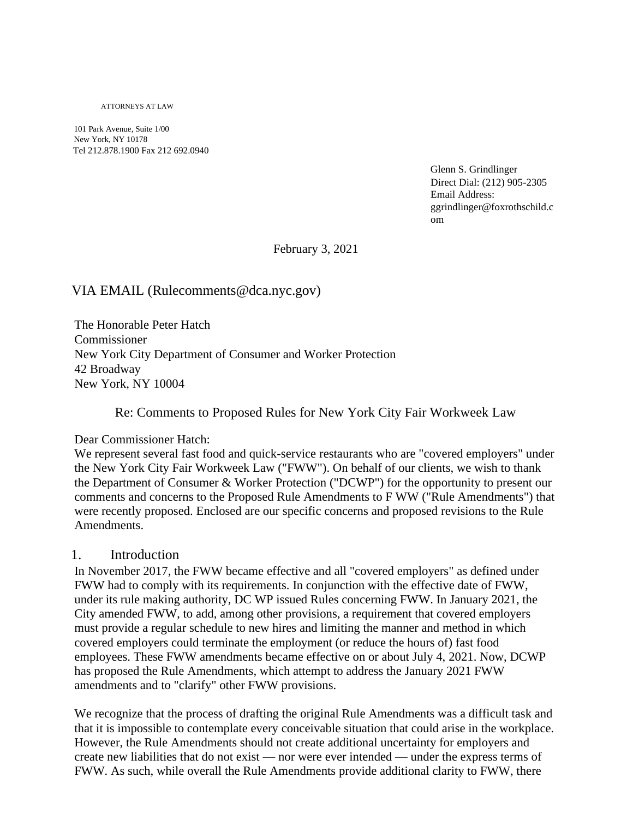ATTORNEYS AT LAW

101 Park Avenue, Suite 1/00 New York, NY 10178 Tel 212.878.1900 Fax 212 692.0940

> Glenn S. Grindlinger Direct Dial: (212) 905-2305 Email Address: ggrindlinger@foxrothschild.c om

February 3, 2021

#### VIA EMAIL (Rulecomments@dca.nyc.gov)

The Honorable Peter Hatch Commissioner New York City Department of Consumer and Worker Protection 42 Broadway New York, NY 10004

Re: Comments to Proposed Rules for New York City Fair Workweek Law

#### Dear Commissioner Hatch:

We represent several fast food and quick-service restaurants who are "covered employers" under the New York City Fair Workweek Law ("FWW"). On behalf of our clients, we wish to thank the Department of Consumer & Worker Protection ("DCWP") for the opportunity to present our comments and concerns to the Proposed Rule Amendments to F WW ("Rule Amendments") that were recently proposed. Enclosed are our specific concerns and proposed revisions to the Rule Amendments.

#### 1. Introduction

In November 2017, the FWW became effective and all "covered employers" as defined under FWW had to comply with its requirements. In conjunction with the effective date of FWW, under its rule making authority, DC WP issued Rules concerning FWW. In January 2021, the City amended FWW, to add, among other provisions, a requirement that covered employers must provide a regular schedule to new hires and limiting the manner and method in which covered employers could terminate the employment (or reduce the hours of) fast food employees. These FWW amendments became effective on or about July 4, 2021. Now, DCWP has proposed the Rule Amendments, which attempt to address the January 2021 FWW amendments and to "clarify" other FWW provisions.

We recognize that the process of drafting the original Rule Amendments was a difficult task and that it is impossible to contemplate every conceivable situation that could arise in the workplace. However, the Rule Amendments should not create additional uncertainty for employers and create new liabilities that do not exist — nor were ever intended — under the express terms of FWW. As such, while overall the Rule Amendments provide additional clarity to FWW, there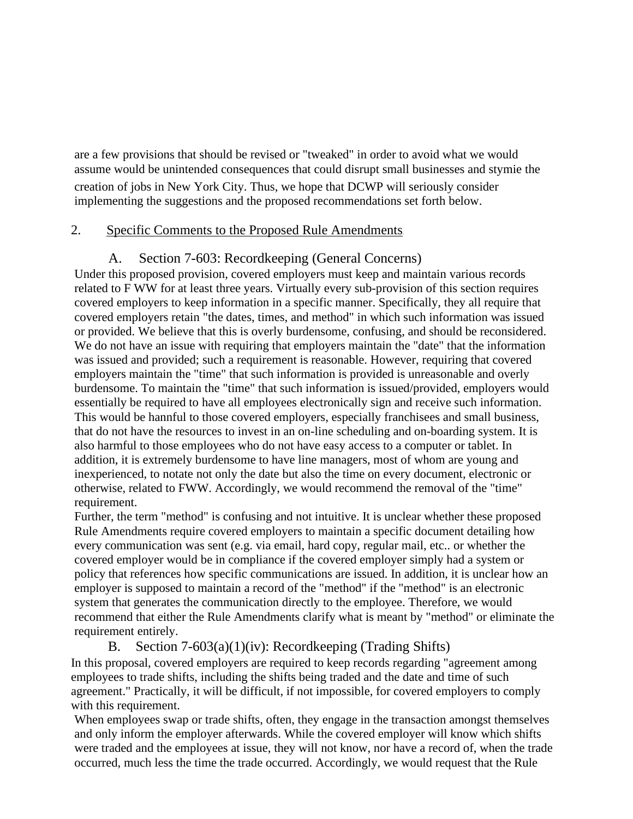are a few provisions that should be revised or "tweaked" in order to avoid what we would assume would be unintended consequences that could disrupt small businesses and stymie the creation of jobs in New York City. Thus, we hope that DCWP will seriously consider implementing the suggestions and the proposed recommendations set forth below.

### 2. Specific Comments to the Proposed Rule Amendments

## A. Section 7-603: Recordkeeping (General Concerns)

Under this proposed provision, covered employers must keep and maintain various records related to F WW for at least three years. Virtually every sub-provision of this section requires covered employers to keep information in a specific manner. Specifically, they all require that covered employers retain "the dates, times, and method" in which such information was issued or provided. We believe that this is overly burdensome, confusing, and should be reconsidered. We do not have an issue with requiring that employers maintain the "date" that the information was issued and provided; such a requirement is reasonable. However, requiring that covered employers maintain the "time" that such information is provided is unreasonable and overly burdensome. To maintain the "time" that such information is issued/provided, employers would essentially be required to have all employees electronically sign and receive such information. This would be hannful to those covered employers, especially franchisees and small business, that do not have the resources to invest in an on-line scheduling and on-boarding system. It is also harmful to those employees who do not have easy access to a computer or tablet. In addition, it is extremely burdensome to have line managers, most of whom are young and inexperienced, to notate not only the date but also the time on every document, electronic or otherwise, related to FWW. Accordingly, we would recommend the removal of the "time" requirement.

Further, the term "method" is confusing and not intuitive. It is unclear whether these proposed Rule Amendments require covered employers to maintain a specific document detailing how every communication was sent (e.g. via email, hard copy, regular mail, etc.. or whether the covered employer would be in compliance if the covered employer simply had a system or policy that references how specific communications are issued. In addition, it is unclear how an employer is supposed to maintain a record of the "method" if the "method" is an electronic system that generates the communication directly to the employee. Therefore, we would recommend that either the Rule Amendments clarify what is meant by "method" or eliminate the requirement entirely.

## B. Section 7-603(a)(1)(iv): Recordkeeping (Trading Shifts)

In this proposal, covered employers are required to keep records regarding "agreement among employees to trade shifts, including the shifts being traded and the date and time of such agreement." Practically, it will be difficult, if not impossible, for covered employers to comply with this requirement.

When employees swap or trade shifts, often, they engage in the transaction amongst themselves and only inform the employer afterwards. While the covered employer will know which shifts were traded and the employees at issue, they will not know, nor have a record of, when the trade occurred, much less the time the trade occurred. Accordingly, we would request that the Rule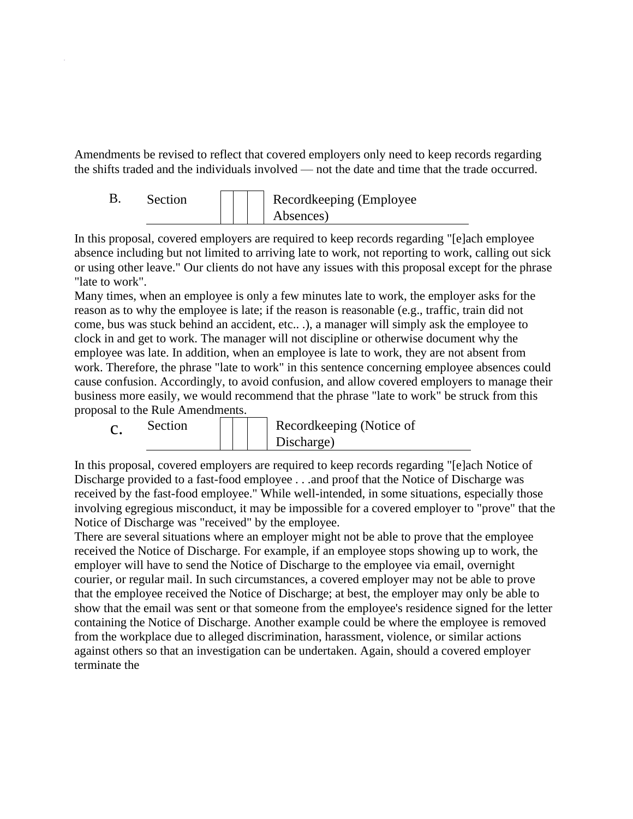Amendments be revised to reflect that covered employers only need to keep records regarding the shifts traded and the individuals involved — not the date and time that the trade occurred.

| Section |  | Recordkeeping (Employee |
|---------|--|-------------------------|
|         |  | Absences)               |

In this proposal, covered employers are required to keep records regarding "[e]ach employee absence including but not limited to arriving late to work, not reporting to work, calling out sick or using other leave." Our clients do not have any issues with this proposal except for the phrase "late to work".

Many times, when an employee is only a few minutes late to work, the employer asks for the reason as to why the employee is late; if the reason is reasonable (e.g., traffic, train did not come, bus was stuck behind an accident, etc.. .), a manager will simply ask the employee to clock in and get to work. The manager will not discipline or otherwise document why the employee was late. In addition, when an employee is late to work, they are not absent from work. Therefore, the phrase "late to work" in this sentence concerning employee absences could cause confusion. Accordingly, to avoid confusion, and allow covered employers to manage their business more easily, we would recommend that the phrase "late to work" be struck from this proposal to the Rule Amendments.



In this proposal, covered employers are required to keep records regarding "[e]ach Notice of Discharge provided to a fast-food employee . . .and proof that the Notice of Discharge was received by the fast-food employee." While well-intended, in some situations, especially those involving egregious misconduct, it may be impossible for a covered employer to "prove" that the Notice of Discharge was "received" by the employee.

There are several situations where an employer might not be able to prove that the employee received the Notice of Discharge. For example, if an employee stops showing up to work, the employer will have to send the Notice of Discharge to the employee via email, overnight courier, or regular mail. In such circumstances, a covered employer may not be able to prove that the employee received the Notice of Discharge; at best, the employer may only be able to show that the email was sent or that someone from the employee's residence signed for the letter containing the Notice of Discharge. Another example could be where the employee is removed from the workplace due to alleged discrimination, harassment, violence, or similar actions against others so that an investigation can be undertaken. Again, should a covered employer terminate the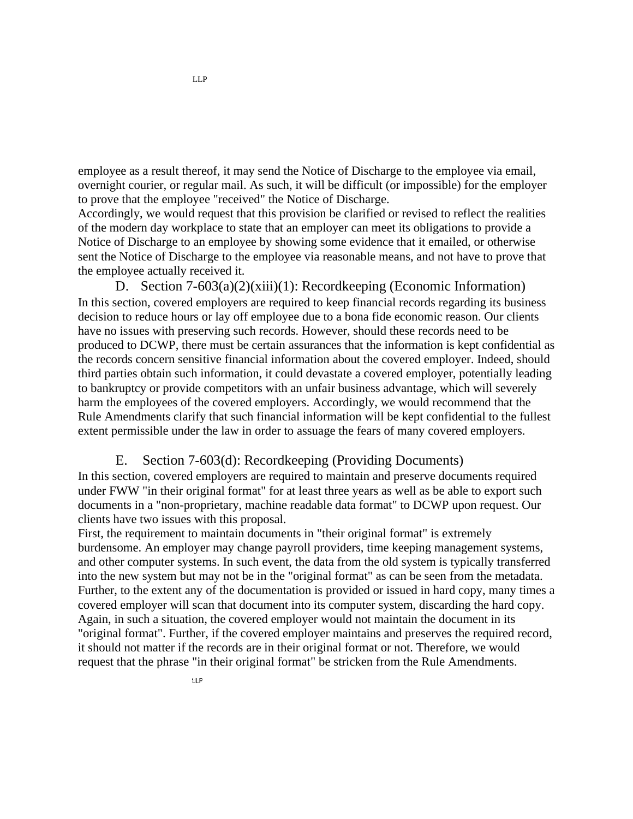employee as a result thereof, it may send the Notice of Discharge to the employee via email, overnight courier, or regular mail. As such, it will be difficult (or impossible) for the employer to prove that the employee "received" the Notice of Discharge.

Accordingly, we would request that this provision be clarified or revised to reflect the realities of the modern day workplace to state that an employer can meet its obligations to provide a Notice of Discharge to an employee by showing some evidence that it emailed, or otherwise sent the Notice of Discharge to the employee via reasonable means, and not have to prove that the employee actually received it.

D. Section 7-603(a)(2)(xiii)(1): Recordkeeping (Economic Information) In this section, covered employers are required to keep financial records regarding its business decision to reduce hours or lay off employee due to a bona fide economic reason. Our clients have no issues with preserving such records. However, should these records need to be produced to DCWP, there must be certain assurances that the information is kept confidential as the records concern sensitive financial information about the covered employer. Indeed, should third parties obtain such information, it could devastate a covered employer, potentially leading to bankruptcy or provide competitors with an unfair business advantage, which will severely harm the employees of the covered employers. Accordingly, we would recommend that the Rule Amendments clarify that such financial information will be kept confidential to the fullest extent permissible under the law in order to assuage the fears of many covered employers.

#### E. Section 7-603(d): Recordkeeping (Providing Documents)

In this section, covered employers are required to maintain and preserve documents required under FWW "in their original format" for at least three years as well as be able to export such documents in a "non-proprietary, machine readable data format" to DCWP upon request. Our clients have two issues with this proposal.

First, the requirement to maintain documents in "their original format" is extremely burdensome. An employer may change payroll providers, time keeping management systems, and other computer systems. In such event, the data from the old system is typically transferred into the new system but may not be in the "original format" as can be seen from the metadata. Further, to the extent any of the documentation is provided or issued in hard copy, many times a covered employer will scan that document into its computer system, discarding the hard copy. Again, in such a situation, the covered employer would not maintain the document in its "original format". Further, if the covered employer maintains and preserves the required record, it should not matter if the records are in their original format or not. Therefore, we would request that the phrase "in their original format" be stricken from the Rule Amendments.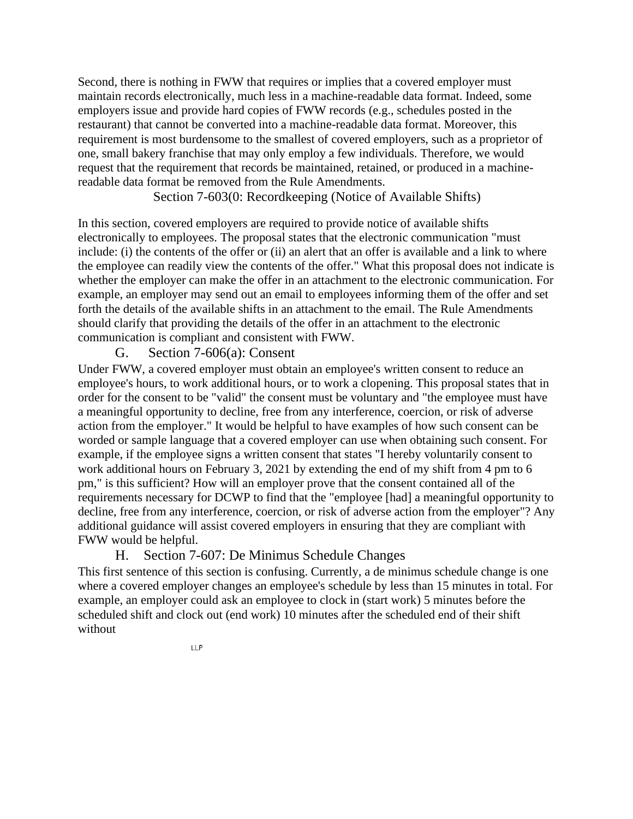Second, there is nothing in FWW that requires or implies that a covered employer must maintain records electronically, much less in a machine-readable data format. Indeed, some employers issue and provide hard copies of FWW records (e.g., schedules posted in the restaurant) that cannot be converted into a machine-readable data format. Moreover, this requirement is most burdensome to the smallest of covered employers, such as a proprietor of one, small bakery franchise that may only employ a few individuals. Therefore, we would request that the requirement that records be maintained, retained, or produced in a machinereadable data format be removed from the Rule Amendments.

Section 7-603(0: Recordkeeping (Notice of Available Shifts)

In this section, covered employers are required to provide notice of available shifts electronically to employees. The proposal states that the electronic communication "must include: (i) the contents of the offer or (ii) an alert that an offer is available and a link to where the employee can readily view the contents of the offer." What this proposal does not indicate is whether the employer can make the offer in an attachment to the electronic communication. For example, an employer may send out an email to employees informing them of the offer and set forth the details of the available shifts in an attachment to the email. The Rule Amendments should clarify that providing the details of the offer in an attachment to the electronic communication is compliant and consistent with FWW.

### G. Section 7-606(a): Consent

Under FWW, a covered employer must obtain an employee's written consent to reduce an employee's hours, to work additional hours, or to work a clopening. This proposal states that in order for the consent to be "valid" the consent must be voluntary and "the employee must have a meaningful opportunity to decline, free from any interference, coercion, or risk of adverse action from the employer." It would be helpful to have examples of how such consent can be worded or sample language that a covered employer can use when obtaining such consent. For example, if the employee signs a written consent that states "I hereby voluntarily consent to work additional hours on February 3, 2021 by extending the end of my shift from 4 pm to 6 pm," is this sufficient? How will an employer prove that the consent contained all of the requirements necessary for DCWP to find that the "employee [had] a meaningful opportunity to decline, free from any interference, coercion, or risk of adverse action from the employer"? Any additional guidance will assist covered employers in ensuring that they are compliant with FWW would be helpful.

## H. Section 7-607: De Minimus Schedule Changes

This first sentence of this section is confusing. Currently, a de minimus schedule change is one where a covered employer changes an employee's schedule by less than 15 minutes in total. For example, an employer could ask an employee to clock in (start work) 5 minutes before the scheduled shift and clock out (end work) 10 minutes after the scheduled end of their shift without

LLP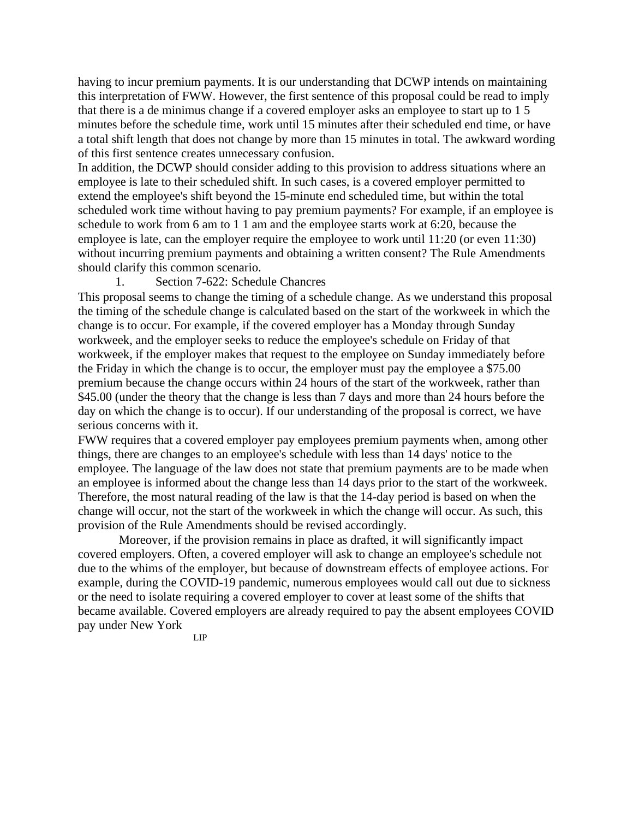having to incur premium payments. It is our understanding that DCWP intends on maintaining this interpretation of FWW. However, the first sentence of this proposal could be read to imply that there is a de minimus change if a covered employer asks an employee to start up to 1 5 minutes before the schedule time, work until 15 minutes after their scheduled end time, or have a total shift length that does not change by more than 15 minutes in total. The awkward wording of this first sentence creates unnecessary confusion.

In addition, the DCWP should consider adding to this provision to address situations where an employee is late to their scheduled shift. In such cases, is a covered employer permitted to extend the employee's shift beyond the 15-minute end scheduled time, but within the total scheduled work time without having to pay premium payments? For example, if an employee is schedule to work from 6 am to 1 1 am and the employee starts work at 6:20, because the employee is late, can the employer require the employee to work until 11:20 (or even 11:30) without incurring premium payments and obtaining a written consent? The Rule Amendments should clarify this common scenario.

#### 1. Section 7-622: Schedule Chancres

This proposal seems to change the timing of a schedule change. As we understand this proposal the timing of the schedule change is calculated based on the start of the workweek in which the change is to occur. For example, if the covered employer has a Monday through Sunday workweek, and the employer seeks to reduce the employee's schedule on Friday of that workweek, if the employer makes that request to the employee on Sunday immediately before the Friday in which the change is to occur, the employer must pay the employee a \$75.00 premium because the change occurs within 24 hours of the start of the workweek, rather than \$45.00 (under the theory that the change is less than 7 days and more than 24 hours before the day on which the change is to occur). If our understanding of the proposal is correct, we have serious concerns with it.

FWW requires that a covered employer pay employees premium payments when, among other things, there are changes to an employee's schedule with less than 14 days' notice to the employee. The language of the law does not state that premium payments are to be made when an employee is informed about the change less than 14 days prior to the start of the workweek. Therefore, the most natural reading of the law is that the 14-day period is based on when the change will occur, not the start of the workweek in which the change will occur. As such, this provision of the Rule Amendments should be revised accordingly.

Moreover, if the provision remains in place as drafted, it will significantly impact covered employers. Often, a covered employer will ask to change an employee's schedule not due to the whims of the employer, but because of downstream effects of employee actions. For example, during the COVID-19 pandemic, numerous employees would call out due to sickness or the need to isolate requiring a covered employer to cover at least some of the shifts that became available. Covered employers are already required to pay the absent employees COVID pay under New York LIP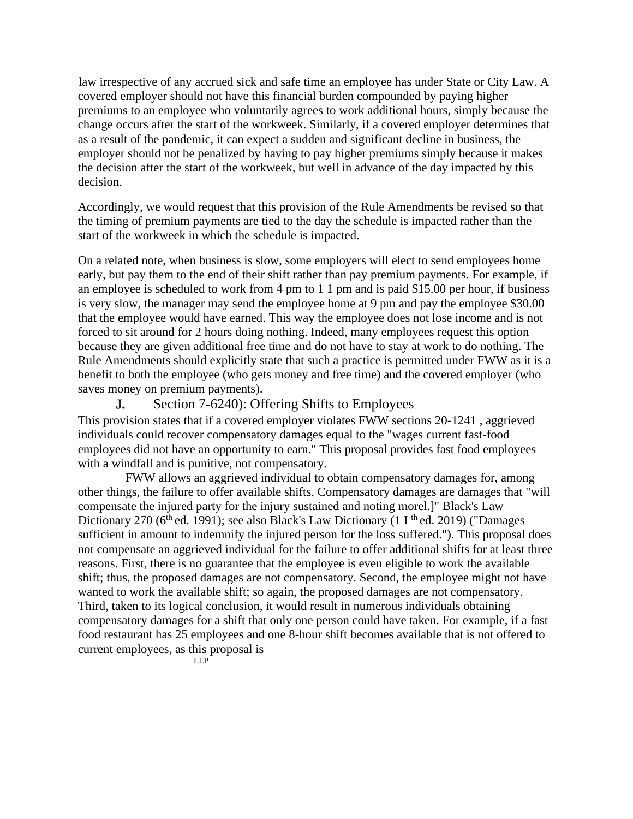law irrespective of any accrued sick and safe time an employee has under State or City Law. A covered employer should not have this financial burden compounded by paying higher premiums to an employee who voluntarily agrees to work additional hours, simply because the change occurs after the start of the workweek. Similarly, if a covered employer determines that as a result of the pandemic, it can expect a sudden and significant decline in business, the employer should not be penalized by having to pay higher premiums simply because it makes the decision after the start of the workweek, but well in advance of the day impacted by this decision.

Accordingly, we would request that this provision of the Rule Amendments be revised so that the timing of premium payments are tied to the day the schedule is impacted rather than the start of the workweek in which the schedule is impacted.

On a related note, when business is slow, some employers will elect to send employees home early, but pay them to the end of their shift rather than pay premium payments. For example, if an employee is scheduled to work from 4 pm to 1 1 pm and is paid \$15.00 per hour, if business is very slow, the manager may send the employee home at 9 pm and pay the employee \$30.00 that the employee would have earned. This way the employee does not lose income and is not forced to sit around for 2 hours doing nothing. Indeed, many employees request this option because they are given additional free time and do not have to stay at work to do nothing. The Rule Amendments should explicitly state that such a practice is permitted under FWW as it is a benefit to both the employee (who gets money and free time) and the covered employer (who saves money on premium payments).

Section 7-6240): Offering Shifts to Employees J.

This provision states that if a covered employer violates FWW sections 20-1241 , aggrieved individuals could recover compensatory damages equal to the "wages current fast-food employees did not have an opportunity to earn." This proposal provides fast food employees with a windfall and is punitive, not compensatory.

FWW allows an aggrieved individual to obtain compensatory damages for, among other things, the failure to offer available shifts. Compensatory damages are damages that "will compensate the injured party for the injury sustained and noting morel.]" Black's Law Dictionary 270 ( $6<sup>th</sup>$  ed. 1991); see also Black's Law Dictionary (1 I<sup>th</sup> ed. 2019) ("Damages sufficient in amount to indemnify the injured person for the loss suffered."). This proposal does not compensate an aggrieved individual for the failure to offer additional shifts for at least three reasons. First, there is no guarantee that the employee is even eligible to work the available shift; thus, the proposed damages are not compensatory. Second, the employee might not have wanted to work the available shift; so again, the proposed damages are not compensatory. Third, taken to its logical conclusion, it would result in numerous individuals obtaining compensatory damages for a shift that only one person could have taken. For example, if a fast food restaurant has 25 employees and one 8-hour shift becomes available that is not offered to current employees, as this proposal is

LLP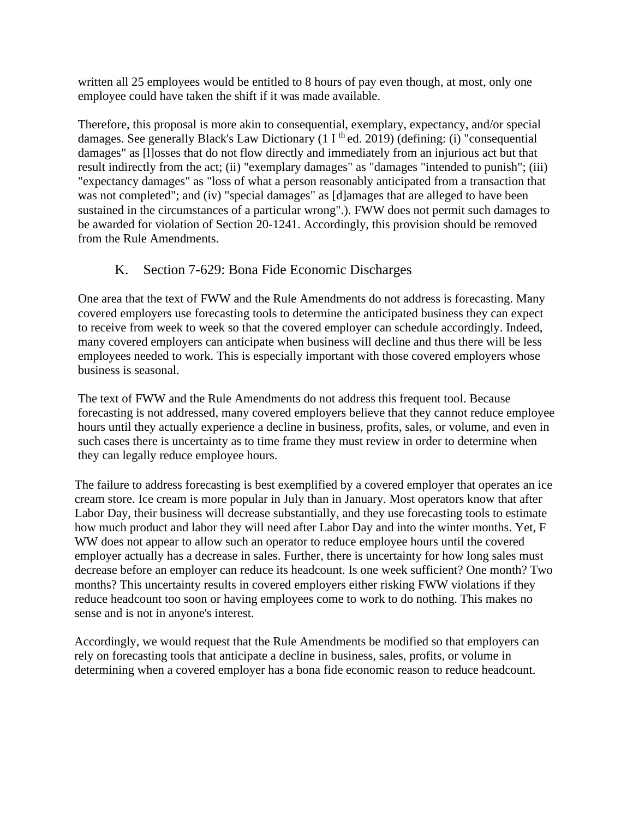written all 25 employees would be entitled to 8 hours of pay even though, at most, only one employee could have taken the shift if it was made available.

Therefore, this proposal is more akin to consequential, exemplary, expectancy, and/or special damages. See generally Black's Law Dictionary  $(1 I<sup>th</sup>$ ed. 2019) (defining: (i) "consequential damages" as [l]osses that do not flow directly and immediately from an injurious act but that result indirectly from the act; (ii) "exemplary damages" as "damages "intended to punish"; (iii) "expectancy damages" as "loss of what a person reasonably anticipated from a transaction that was not completed"; and (iv) "special damages" as [d]amages that are alleged to have been sustained in the circumstances of a particular wrong".). FWW does not permit such damages to be awarded for violation of Section 20-1241. Accordingly, this provision should be removed from the Rule Amendments.

## K. Section 7-629: Bona Fide Economic Discharges

One area that the text of FWW and the Rule Amendments do not address is forecasting. Many covered employers use forecasting tools to determine the anticipated business they can expect to receive from week to week so that the covered employer can schedule accordingly. Indeed, many covered employers can anticipate when business will decline and thus there will be less employees needed to work. This is especially important with those covered employers whose business is seasonal.

The text of FWW and the Rule Amendments do not address this frequent tool. Because forecasting is not addressed, many covered employers believe that they cannot reduce employee hours until they actually experience a decline in business, profits, sales, or volume, and even in such cases there is uncertainty as to time frame they must review in order to determine when they can legally reduce employee hours.

The failure to address forecasting is best exemplified by a covered employer that operates an ice cream store. Ice cream is more popular in July than in January. Most operators know that after Labor Day, their business will decrease substantially, and they use forecasting tools to estimate how much product and labor they will need after Labor Day and into the winter months. Yet, F WW does not appear to allow such an operator to reduce employee hours until the covered employer actually has a decrease in sales. Further, there is uncertainty for how long sales must decrease before an employer can reduce its headcount. Is one week sufficient? One month? Two months? This uncertainty results in covered employers either risking FWW violations if they reduce headcount too soon or having employees come to work to do nothing. This makes no sense and is not in anyone's interest.

Accordingly, we would request that the Rule Amendments be modified so that employers can rely on forecasting tools that anticipate a decline in business, sales, profits, or volume in determining when a covered employer has a bona fide economic reason to reduce headcount.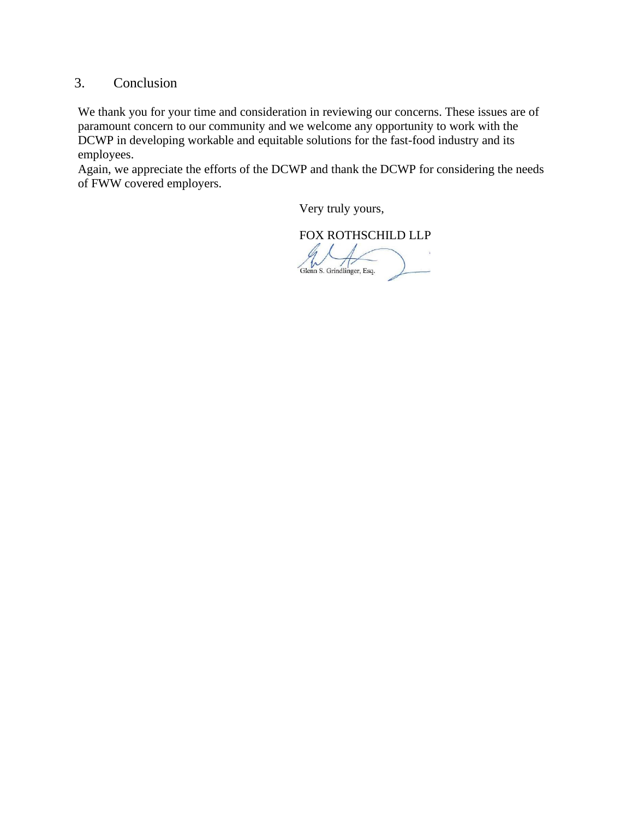## 3. Conclusion

We thank you for your time and consideration in reviewing our concerns. These issues are of paramount concern to our community and we welcome any opportunity to work with the DCWP in developing workable and equitable solutions for the fast-food industry and its employees.

Again, we appreciate the efforts of the DCWP and thank the DCWP for considering the needs of FWW covered employers.

Very truly yours,

FOX ROTHSCHILD LLPGlenn S. Grindlinger, Esq.